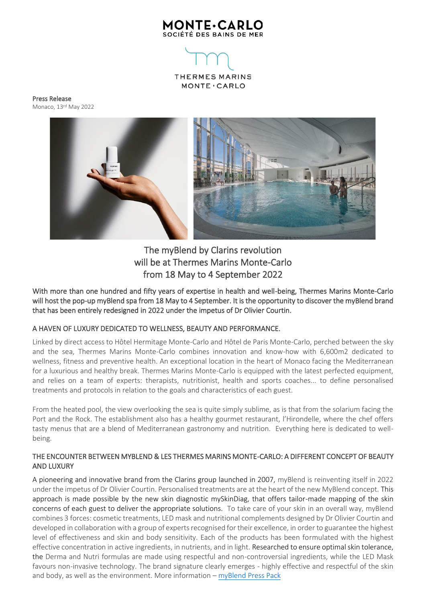

THERMES MARINS MONTE · CARLO

Press Release Monaco, 13 rd May 2022



# The myBlend by Clarins revolution will be at Thermes Marins Monte-Carlo from 18 May to 4 September 2022

With more than one hundred and fifty years of expertise in health and well-being, Thermes Marins Monte-Carlo will host the pop-up myBlend spa from 18 May to 4 September. It is the opportunity to discover the myBlend brand that has been entirely redesigned in 2022 under the impetus of Dr Olivier Courtin.

## A HAVEN OF LUXURY DEDICATED TO WELLNESS, BEAUTY AND PERFORMANCE.

Linked by direct access to Hôtel Hermitage Monte-Carlo and Hôtel de Paris Monte-Carlo, perched between the sky and the sea, Thermes Marins Monte-Carlo combines innovation and know-how with 6,600m2 dedicated to wellness, fitness and preventive health. An exceptional location in the heart of Monaco facing the Mediterranean for a luxurious and healthy break. Thermes Marins Monte-Carlo is equipped with the latest perfected equipment, and relies on a team of experts: therapists, nutritionist, health and sports coaches... to define personalised treatments and protocols in relation to the goals and characteristics of each guest.

From the heated pool, the view overlooking the sea is quite simply sublime, as is that from the solarium facing the Port and the Rock. The establishment also has a healthy gourmet restaurant, l'Hirondelle, where the chef offers tasty menus that are a blend of Mediterranean gastronomy and nutrition. Everything here is dedicated to wellbeing.

## THE ENCOUNTER BETWEEN MYBLEND & LES THERMES MARINS MONTE-CARLO: A DIFFERENT CONCEPT OF BEAUTY AND LUXURY

A pioneering and innovative brand from the Clarins group launched in 2007, myBlend is reinventing itself in 2022 under the impetus of Dr Olivier Courtin. Personalised treatments are at the heart of the new MyBlend concept. This approach is made possible by the new skin diagnostic mySkinDiag, that offers tailor-made mapping of the skin concerns of each guest to deliver the appropriate solutions. To take care of your skin in an overall way, myBlend combines 3 forces: cosmetic treatments, LED mask and nutritional complements designed by Dr Olivier Courtin and developed in collaboration with a group of experts recognised for their excellence, in order to guarantee the highest level of effectiveness and skin and body sensitivity. Each of the products has been formulated with the highest effective concentration in active ingredients, in nutrients, and in light. Researched to ensure optimal skin tolerance, the Derma and Nutri formulas are made using respectful and non-controversial ingredients, while the LED Mask favours non-invasive technology. The brand signature clearly emerges - highly effective and respectful of the skin and body, as well as the environment. More information  $-$  [myBlend Press Pack](https://press-kit.my-blend.com/fr)